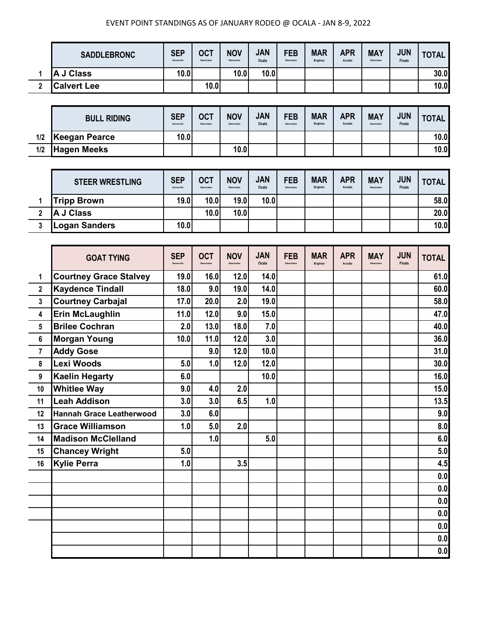|   | <b>SADDLEBRONC</b> | <b>SEP</b><br>Kenansville | <b>OCT</b><br>Okeechobee | <b>NOV</b><br>Okeechobee | <b>JAN</b><br>Ocala | <b>FEB</b><br>Okeechobee | <b>MAR</b><br><b>Brighton</b> | <b>APR</b><br>Arcadia | <b>MAY</b><br>Okeechobee | <b>JUN</b><br><b>Finals</b> | <b>TOTAL</b> |
|---|--------------------|---------------------------|--------------------------|--------------------------|---------------------|--------------------------|-------------------------------|-----------------------|--------------------------|-----------------------------|--------------|
|   | J Class<br>ΙA      | 10.0                      |                          | 10.0                     | 10.0                |                          |                               |                       |                          |                             | 30.0         |
| n | <b>Calvert Lee</b> |                           | 10.0                     |                          |                     |                          |                               |                       |                          |                             | 10.0         |

|     | <b>BULL RIDING</b> | <b>SEP</b><br>Kenansville | <b>OCT</b><br>Okeechobee | <b>NOV</b><br>Okeechobee | <b>JAN</b><br>Ocala | <b>FEB</b><br>Okeechobee | <b>MAR</b><br><b>Brighton</b> | <b>APR</b><br>Arcadia | <b>MAY</b><br>Okeechobee | <b>JUN</b><br><b>Finals</b> | <b>TOTAL</b> |
|-----|--------------------|---------------------------|--------------------------|--------------------------|---------------------|--------------------------|-------------------------------|-----------------------|--------------------------|-----------------------------|--------------|
| 1/2 | Keegan Pearce      | 10.0l                     |                          |                          |                     |                          |                               |                       |                          |                             | 10.0         |
| 1/2 | <b>Hagen Meeks</b> |                           |                          | 10.0                     |                     |                          |                               |                       |                          |                             | 10.0         |

|   | <b>STEER WRESTLING</b> | <b>SEP</b><br>Kenansville | <b>OCT</b><br>Okeechobee | <b>NOV</b><br>Okeechobee | <b>JAN</b><br>Ocala | <b>FEB</b><br>Okeechobee | <b>MAR</b><br><b>Brighton</b> | <b>APR</b><br>Arcadia | <b>MAY</b><br>Okeechobee | <b>JUN</b><br><b>Finals</b> | <b>TOTAL</b> |
|---|------------------------|---------------------------|--------------------------|--------------------------|---------------------|--------------------------|-------------------------------|-----------------------|--------------------------|-----------------------------|--------------|
|   | <b>Tripp Brown</b>     | 19.0                      | 10.0                     | <b>19.0</b>              | 10.0                |                          |                               |                       |                          |                             | 58.0         |
|   | A J Class              |                           | 10.0                     | 10.0                     |                     |                          |                               |                       |                          |                             | 20.0         |
| 2 | Logan Sanders          | 10.0                      |                          |                          |                     |                          |                               |                       |                          |                             | 10.0         |

|                | <b>GOAT TYING</b>               | <b>SEP</b><br>Kenansville | <b>OCT</b><br>Okeechobee | <b>NOV</b> | <b>JAN</b><br>Ocala | <b>FEB</b><br>Okeechoher | <b>MAR</b><br><b>Brighton</b> | <b>APR</b><br>Arcadia | <b>MAY</b><br>Okeechobee | <b>JUN</b><br><b>Finals</b> | <b>TOTAL</b> |
|----------------|---------------------------------|---------------------------|--------------------------|------------|---------------------|--------------------------|-------------------------------|-----------------------|--------------------------|-----------------------------|--------------|
| 1              | <b>Courtney Grace Stalvey</b>   | 19.0                      | 16.0                     | 12.0       | 14.0                |                          |                               |                       |                          |                             | 61.0         |
| $\overline{2}$ | <b>Kaydence Tindall</b>         | 18.0                      | 9.0                      | 19.0       | 14.0                |                          |                               |                       |                          |                             | 60.0         |
| $\mathbf{3}$   | <b>Courtney Carbajal</b>        | 17.0                      | 20.0                     | 2.0        | 19.0                |                          |                               |                       |                          |                             | 58.0         |
| 4              | Erin McLaughlin                 | 11.0                      | 12.0                     | 9.0        | 15.0                |                          |                               |                       |                          |                             | 47.0         |
| 5              | <b>Brilee Cochran</b>           | 2.0                       | 13.0                     | 18.0       | 7.0                 |                          |                               |                       |                          |                             | 40.0         |
| 6              | <b>Morgan Young</b>             | 10.0                      | 11.0                     | 12.0       | 3.0                 |                          |                               |                       |                          |                             | 36.0         |
| $\overline{7}$ | <b>Addy Gose</b>                |                           | 9.0                      | 12.0       | 10.0                |                          |                               |                       |                          |                             | 31.0         |
| 8              | Lexi Woods                      | 5.0                       | 1.0                      | 12.0       | 12.0                |                          |                               |                       |                          |                             | 30.0         |
| 9              | <b>Kaelin Hegarty</b>           | 6.0                       |                          |            | 10.0                |                          |                               |                       |                          |                             | 16.0         |
| 10             | <b>Whitlee Way</b>              | 9.0                       | 4.0                      | 2.0        |                     |                          |                               |                       |                          |                             | 15.0         |
| 11             | <b>Leah Addison</b>             | 3.0                       | 3.0                      | 6.5        | 1.0                 |                          |                               |                       |                          |                             | 13.5         |
| 12             | <b>Hannah Grace Leatherwood</b> | 3.0                       | 6.0                      |            |                     |                          |                               |                       |                          |                             | 9.0          |
| 13             | <b>Grace Williamson</b>         | 1.0                       | 5.0                      | 2.0        |                     |                          |                               |                       |                          |                             | 8.0          |
| 14             | <b>Madison McClelland</b>       |                           | 1.0                      |            | 5.0                 |                          |                               |                       |                          |                             | 6.0          |
| 15             | <b>Chancey Wright</b>           | 5.0                       |                          |            |                     |                          |                               |                       |                          |                             | 5.0          |
| 16             | <b>Kylie Perra</b>              | 1.0                       |                          | 3.5        |                     |                          |                               |                       |                          |                             | 4.5          |
|                |                                 |                           |                          |            |                     |                          |                               |                       |                          |                             | 0.0          |
|                |                                 |                           |                          |            |                     |                          |                               |                       |                          |                             | 0.0          |
|                |                                 |                           |                          |            |                     |                          |                               |                       |                          |                             | 0.0          |
|                |                                 |                           |                          |            |                     |                          |                               |                       |                          |                             | 0.0          |
|                |                                 |                           |                          |            |                     |                          |                               |                       |                          |                             | 0.0          |
|                |                                 |                           |                          |            |                     |                          |                               |                       |                          |                             | 0.0          |
|                |                                 |                           |                          |            |                     |                          |                               |                       |                          |                             | 0.0          |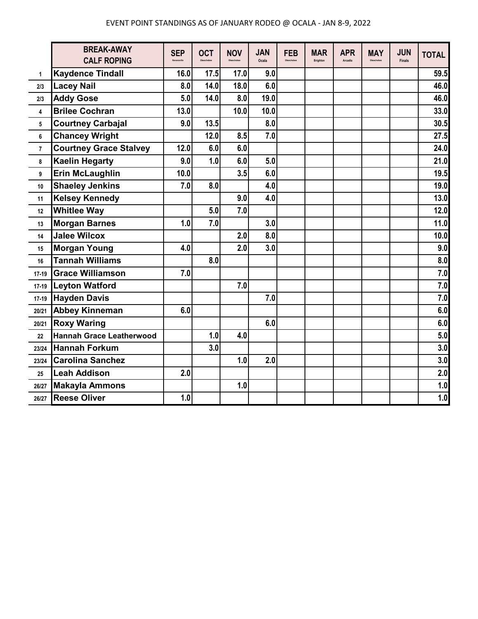|                | <b>BREAK-AWAY</b><br><b>CALF ROPING</b> | <b>SEP</b><br>Kenansville | <b>OCT</b><br>Okeechohee | <b>NOV</b><br><b>Okeachober</b> | <b>JAN</b><br>Ocala | <b>FEB</b><br>Okeechohee | <b>MAR</b><br><b>Brighton</b> | <b>APR</b><br>Arcadia | <b>MAY</b><br>Okeechobee | <b>JUN</b><br><b>Finals</b> | <b>TOTAL</b> |
|----------------|-----------------------------------------|---------------------------|--------------------------|---------------------------------|---------------------|--------------------------|-------------------------------|-----------------------|--------------------------|-----------------------------|--------------|
| 1              | <b>Kaydence Tindall</b>                 | 16.0                      | 17.5                     | 17.0                            | 9.0                 |                          |                               |                       |                          |                             | 59.5         |
| 2/3            | <b>Lacey Nail</b>                       | 8.0                       | 14.0                     | 18.0                            | 6.0                 |                          |                               |                       |                          |                             | 46.0         |
| 2/3            | <b>Addy Gose</b>                        | 5.0                       | 14.0                     | 8.0                             | 19.0                |                          |                               |                       |                          |                             | 46.0         |
| 4              | <b>Brilee Cochran</b>                   | 13.0                      |                          | 10.0                            | 10.0                |                          |                               |                       |                          |                             | 33.0         |
| 5              | <b>Courtney Carbajal</b>                | 9.0                       | 13.5                     |                                 | 8.0                 |                          |                               |                       |                          |                             | 30.5         |
| 6              | <b>Chancey Wright</b>                   |                           | 12.0                     | 8.5                             | 7.0                 |                          |                               |                       |                          |                             | 27.5         |
| $\overline{7}$ | <b>Courtney Grace Stalvey</b>           | 12.0                      | 6.0                      | 6.0                             |                     |                          |                               |                       |                          |                             | 24.0         |
| 8              | <b>Kaelin Hegarty</b>                   | 9.0                       | 1.0                      | 6.0                             | 5.0                 |                          |                               |                       |                          |                             | 21.0         |
| 9              | <b>Erin McLaughlin</b>                  | 10.0                      |                          | 3.5                             | 6.0                 |                          |                               |                       |                          |                             | 19.5         |
| 10             | <b>Shaeley Jenkins</b>                  | 7.0                       | 8.0                      |                                 | 4.0                 |                          |                               |                       |                          |                             | 19.0         |
| 11             | <b>Kelsey Kennedy</b>                   |                           |                          | 9.0                             | 4.0                 |                          |                               |                       |                          |                             | 13.0         |
| 12             | <b>Whitlee Way</b>                      |                           | 5.0                      | 7.0                             |                     |                          |                               |                       |                          |                             | 12.0         |
| 13             | <b>Morgan Barnes</b>                    | 1.0                       | 7.0                      |                                 | 3.0                 |                          |                               |                       |                          |                             | 11.0         |
| 14             | <b>Jalee Wilcox</b>                     |                           |                          | 2.0                             | 8.0                 |                          |                               |                       |                          |                             | 10.0         |
| 15             | <b>Morgan Young</b>                     | 4.0                       |                          | 2.0                             | 3.0                 |                          |                               |                       |                          |                             | 9.0          |
| 16             | <b>Tannah Williams</b>                  |                           | 8.0                      |                                 |                     |                          |                               |                       |                          |                             | 8.0          |
| 17-19          | <b>Grace Williamson</b>                 | 7.0                       |                          |                                 |                     |                          |                               |                       |                          |                             | 7.0          |
| $17-19$        | <b>Leyton Watford</b>                   |                           |                          | 7.0                             |                     |                          |                               |                       |                          |                             | 7.0          |
| $17 - 19$      | <b>Hayden Davis</b>                     |                           |                          |                                 | 7.0                 |                          |                               |                       |                          |                             | 7.0          |
| 20/21          | <b>Abbey Kinneman</b>                   | 6.0                       |                          |                                 |                     |                          |                               |                       |                          |                             | 6.0          |
| 20/21          | <b>Roxy Waring</b>                      |                           |                          |                                 | 6.0                 |                          |                               |                       |                          |                             | 6.0          |
| 22             | <b>Hannah Grace Leatherwood</b>         |                           | 1.0                      | 4.0                             |                     |                          |                               |                       |                          |                             | 5.0          |
| 23/24          | <b>Hannah Forkum</b>                    |                           | 3.0                      |                                 |                     |                          |                               |                       |                          |                             | 3.0          |
| 23/24          | <b>Carolina Sanchez</b>                 |                           |                          | 1.0                             | 2.0                 |                          |                               |                       |                          |                             | 3.0          |
| 25             | <b>Leah Addison</b>                     | 2.0                       |                          |                                 |                     |                          |                               |                       |                          |                             | 2.0          |
| 26/27          | <b>Makayla Ammons</b>                   |                           |                          | 1.0                             |                     |                          |                               |                       |                          |                             | 1.0          |
| 26/27          | <b>Reese Oliver</b>                     | 1.0                       |                          |                                 |                     |                          |                               |                       |                          |                             | 1.0          |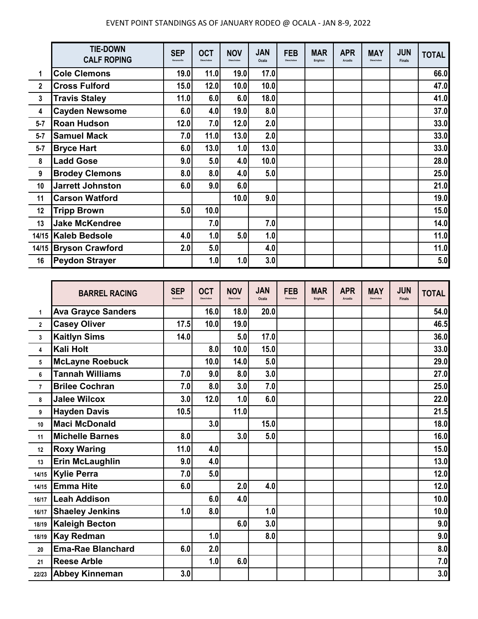|             | <b>TIE-DOWN</b><br><b>CALF ROPING</b> | <b>SEP</b><br>Kenansville | <b>OCT</b><br>Okeechobee | <b>NOV</b><br>Okeechobee | <b>JAN</b><br>Ocala | <b>FEB</b><br>Okeechobee | <b>MAR</b><br>Brighton | <b>APR</b><br>Arcadia | <b>MAY</b><br>Okeechobee | <b>JUN</b><br><b>Finals</b> | <b>TOTAL</b> |
|-------------|---------------------------------------|---------------------------|--------------------------|--------------------------|---------------------|--------------------------|------------------------|-----------------------|--------------------------|-----------------------------|--------------|
| 1           | <b>Cole Clemons</b>                   | 19.0                      | 11.0                     | 19.0                     | 17.0                |                          |                        |                       |                          |                             | 66.0         |
| $\mathbf 2$ | <b>Cross Fulford</b>                  | 15.0                      | 12.0                     | 10.0                     | 10.0                |                          |                        |                       |                          |                             | 47.0         |
| 3           | <b>Travis Staley</b>                  | 11.0                      | 6.0                      | 6.0                      | 18.0                |                          |                        |                       |                          |                             | 41.0         |
| 4           | <b>Cayden Newsome</b>                 | 6.0                       | 4.0                      | 19.0                     | 8.0                 |                          |                        |                       |                          |                             | 37.0         |
| $5 - 7$     | <b>Roan Hudson</b>                    | 12.0                      | 7.0                      | 12.0                     | 2.0                 |                          |                        |                       |                          |                             | 33.0         |
| $5 - 7$     | <b>Samuel Mack</b>                    | 7.0                       | 11.0                     | 13.0                     | 2.0                 |                          |                        |                       |                          |                             | 33.0         |
| $5 - 7$     | <b>Bryce Hart</b>                     | 6.0                       | 13.0                     | 1.0                      | 13.0                |                          |                        |                       |                          |                             | 33.0         |
| 8           | <b>Ladd Gose</b>                      | 9.0                       | 5.0                      | 4.0                      | 10.0                |                          |                        |                       |                          |                             | 28.0         |
| 9           | <b>Brodey Clemons</b>                 | 8.0                       | 8.0                      | 4.0                      | 5.0                 |                          |                        |                       |                          |                             | 25.0         |
| 10          | <b>Jarrett Johnston</b>               | 6.0                       | 9.0                      | 6.0                      |                     |                          |                        |                       |                          |                             | 21.0         |
| 11          | <b>Carson Watford</b>                 |                           |                          | 10.0                     | 9.0                 |                          |                        |                       |                          |                             | 19.0         |
| 12          | <b>Tripp Brown</b>                    | 5.0                       | 10.0                     |                          |                     |                          |                        |                       |                          |                             | 15.0         |
| 13          | <b>Jake McKendree</b>                 |                           | 7.0                      |                          | 7.0                 |                          |                        |                       |                          |                             | 14.0         |
|             | 14/15 Kaleb Bedsole                   | 4.0                       | 1.0                      | 5.0                      | 1.0                 |                          |                        |                       |                          |                             | 11.0         |
|             | 14/15 Bryson Crawford                 | 2.0                       | 5.0                      |                          | 4.0                 |                          |                        |                       |                          |                             | 11.0         |
| 16          | <b>Peydon Strayer</b>                 |                           | 1.0                      | 1.0                      | 3.0                 |                          |                        |                       |                          |                             | 5.0          |

|                | <b>BARREL RACING</b>      | <b>SEP</b><br>Kenansville | <b>OCT</b> | <b>NOV</b> | <b>JAN</b><br>Ocala | <b>FEB</b><br>Okeechobee | <b>MAR</b><br>Brighton | <b>APR</b><br>Arcadia | <b>MAY</b><br>Okeechobee | <b>JUN</b><br><b>Finals</b> | <b>TOTAL</b> |
|----------------|---------------------------|---------------------------|------------|------------|---------------------|--------------------------|------------------------|-----------------------|--------------------------|-----------------------------|--------------|
| $\mathbf{1}$   | <b>Ava Grayce Sanders</b> |                           | 16.0       | 18.0       | 20.0                |                          |                        |                       |                          |                             | 54.0         |
| $\mathbf{2}$   | <b>Casey Oliver</b>       | 17.5                      | 10.0       | 19.0       |                     |                          |                        |                       |                          |                             | 46.5         |
| 3              | <b>Kaitlyn Sims</b>       | 14.0                      |            | 5.0        | 17.0                |                          |                        |                       |                          |                             | 36.0         |
| 4              | <b>Kali Holt</b>          |                           | 8.0        | 10.0       | 15.0                |                          |                        |                       |                          |                             | 33.0         |
| 5              | <b>McLayne Roebuck</b>    |                           | 10.0       | 14.0       | 5.0                 |                          |                        |                       |                          |                             | 29.0         |
| 6              | <b>Tannah Williams</b>    | 7.0                       | 9.0        | 8.0        | 3.0                 |                          |                        |                       |                          |                             | 27.0         |
| $\overline{7}$ | <b>Brilee Cochran</b>     | 7.0                       | 8.0        | 3.0        | 7.0                 |                          |                        |                       |                          |                             | 25.0         |
| 8              | <b>Jalee Wilcox</b>       | 3.0                       | 12.0       | 1.0        | 6.0                 |                          |                        |                       |                          |                             | 22.0         |
| 9              | <b>Hayden Davis</b>       | 10.5                      |            | 11.0       |                     |                          |                        |                       |                          |                             | 21.5         |
| 10             | <b>Maci McDonald</b>      |                           | 3.0        |            | 15.0                |                          |                        |                       |                          |                             | 18.0         |
| 11             | <b>Michelle Barnes</b>    | 8.0                       |            | 3.0        | 5.0                 |                          |                        |                       |                          |                             | 16.0         |
| 12             | <b>Roxy Waring</b>        | 11.0                      | 4.0        |            |                     |                          |                        |                       |                          |                             | 15.0         |
| 13             | <b>Erin McLaughlin</b>    | 9.0                       | 4.0        |            |                     |                          |                        |                       |                          |                             | $13.0$       |
| 14/15          | <b>Kylie Perra</b>        | 7.0                       | 5.0        |            |                     |                          |                        |                       |                          |                             | 12.0         |
| 14/15          | <b>Emma Hite</b>          | 6.0                       |            | 2.0        | 4.0                 |                          |                        |                       |                          |                             | 12.0         |
| 16/17          | <b>Leah Addison</b>       |                           | 6.0        | 4.0        |                     |                          |                        |                       |                          |                             | 10.0         |
| 16/17          | <b>Shaeley Jenkins</b>    | 1.0                       | 8.0        |            | 1.0                 |                          |                        |                       |                          |                             | 10.0         |
| 18/19          | <b>Kaleigh Becton</b>     |                           |            | 6.0        | 3.0                 |                          |                        |                       |                          |                             | 9.0          |
| 18/19          | Kay Redman                |                           | 1.0        |            | 8.0                 |                          |                        |                       |                          |                             | 9.0          |
| 20             | <b>Ema-Rae Blanchard</b>  | 6.0                       | 2.0        |            |                     |                          |                        |                       |                          |                             | 8.0          |
| 21             | <b>Reese Arble</b>        |                           | 1.0        | 6.0        |                     |                          |                        |                       |                          |                             | 7.0          |
| 22/23          | <b>Abbey Kinneman</b>     | 3.0                       |            |            |                     |                          |                        |                       |                          |                             | 3.0          |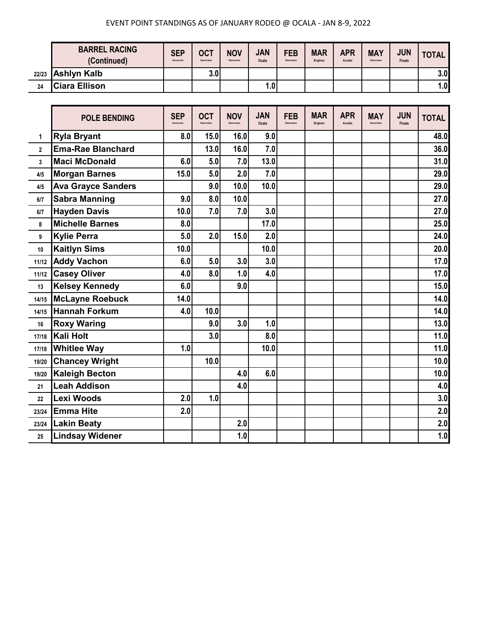|    | <b>BARREL RACING</b><br>(Continued) | <b>SEP</b><br>Kenansville | <b>OCT</b><br>Okeechobee | <b>NOV</b><br>Okeechobee | <b>JAN</b><br>Ocala | <b>FEB</b><br>Okeechobee | <b>MAR</b><br>Brighton | <b>APR</b><br>Arcadia | <b>MAY</b><br>Okeechobee | <b>JUN</b><br><b>Finals</b> | <b>TOTAL</b> |
|----|-------------------------------------|---------------------------|--------------------------|--------------------------|---------------------|--------------------------|------------------------|-----------------------|--------------------------|-----------------------------|--------------|
|    | $22/23$ Ashlyn Kalb                 |                           | 3.0                      |                          |                     |                          |                        |                       |                          |                             | 3.0          |
| 24 | <b>Ciara Ellison</b>                |                           |                          |                          | 1.0.                |                          |                        |                       |                          |                             | 1.0          |

|                | <b>POLE BENDING</b>       | <b>SEP</b><br>Kenansville | <b>OCT</b><br>Okeechobee | <b>NOV</b><br>Okeechobee | <b>JAN</b><br>Ocala | <b>FEB</b><br>Okeechobee | <b>MAR</b><br><b>Brighton</b> | <b>APR</b><br>Arcadia | <b>MAY</b><br>Okeechobee | <b>JUN</b><br><b>Finals</b> | <b>TOTAL</b> |
|----------------|---------------------------|---------------------------|--------------------------|--------------------------|---------------------|--------------------------|-------------------------------|-----------------------|--------------------------|-----------------------------|--------------|
| 1              | <b>Ryla Bryant</b>        | 8.0                       | 15.0                     | 16.0                     | 9.0                 |                          |                               |                       |                          |                             | 48.0         |
| $\overline{2}$ | <b>Ema-Rae Blanchard</b>  |                           | 13.0                     | 16.0                     | 7.0                 |                          |                               |                       |                          |                             | 36.0         |
| $\overline{3}$ | <b>Maci McDonald</b>      | 6.0                       | 5.0                      | 7.0                      | 13.0                |                          |                               |                       |                          |                             | 31.0         |
| 4/5            | <b>Morgan Barnes</b>      | 15.0                      | 5.0                      | 2.0                      | 7.0                 |                          |                               |                       |                          |                             | 29.0         |
| 4/5            | <b>Ava Grayce Sanders</b> |                           | 9.0                      | 10.0                     | 10.0                |                          |                               |                       |                          |                             | 29.0         |
| 6/7            | <b>Sabra Manning</b>      | 9.0                       | 8.0                      | 10.0                     |                     |                          |                               |                       |                          |                             | 27.0         |
| 6/7            | <b>Hayden Davis</b>       | 10.0                      | 7.0                      | 7.0                      | 3.0                 |                          |                               |                       |                          |                             | 27.0         |
| 8              | <b>Michelle Barnes</b>    | 8.0                       |                          |                          | 17.0                |                          |                               |                       |                          |                             | 25.0         |
| 9              | <b>Kylie Perra</b>        | 5.0                       | 2.0                      | 15.0                     | 2.0                 |                          |                               |                       |                          |                             | 24.0         |
| 10             | <b>Kaitlyn Sims</b>       | 10.0                      |                          |                          | 10.0                |                          |                               |                       |                          |                             | 20.0         |
| 11/12          | <b>Addy Vachon</b>        | 6.0                       | 5.0                      | 3.0                      | 3.0                 |                          |                               |                       |                          |                             | 17.0         |
| 11/12          | <b>Casey Oliver</b>       | 4.0                       | 8.0                      | 1.0                      | 4.0                 |                          |                               |                       |                          |                             | 17.0         |
| 13             | <b>Kelsey Kennedy</b>     | 6.0                       |                          | 9.0                      |                     |                          |                               |                       |                          |                             | 15.0         |
| 14/15          | <b>McLayne Roebuck</b>    | 14.0                      |                          |                          |                     |                          |                               |                       |                          |                             | 14.0         |
| 14/15          | <b>Hannah Forkum</b>      | 4.0                       | 10.0                     |                          |                     |                          |                               |                       |                          |                             | 14.0         |
| 16             | <b>Roxy Waring</b>        |                           | 9.0                      | 3.0                      | 1.0                 |                          |                               |                       |                          |                             | 13.0         |
| 17/18          | Kali Holt                 |                           | 3.0                      |                          | 8.0                 |                          |                               |                       |                          |                             | 11.0         |
| 17/18          | <b>Whitlee Way</b>        | 1.0                       |                          |                          | 10.0                |                          |                               |                       |                          |                             | 11.0         |
| 19/20          | <b>Chancey Wright</b>     |                           | 10.0                     |                          |                     |                          |                               |                       |                          |                             | 10.0         |
| 19/20          | <b>Kaleigh Becton</b>     |                           |                          | 4.0                      | 6.0                 |                          |                               |                       |                          |                             | 10.0         |
| 21             | <b>Leah Addison</b>       |                           |                          | 4.0                      |                     |                          |                               |                       |                          |                             | 4.0          |
| 22             | Lexi Woods                | 2.0                       | 1.0                      |                          |                     |                          |                               |                       |                          |                             | 3.0          |
| 23/24          | <b>Emma Hite</b>          | 2.0                       |                          |                          |                     |                          |                               |                       |                          |                             | 2.0          |
| 23/24          | <b>Lakin Beaty</b>        |                           |                          | 2.0                      |                     |                          |                               |                       |                          |                             | 2.0          |
| 25             | <b>Lindsay Widener</b>    |                           |                          | 1.0                      |                     |                          |                               |                       |                          |                             | 1.0          |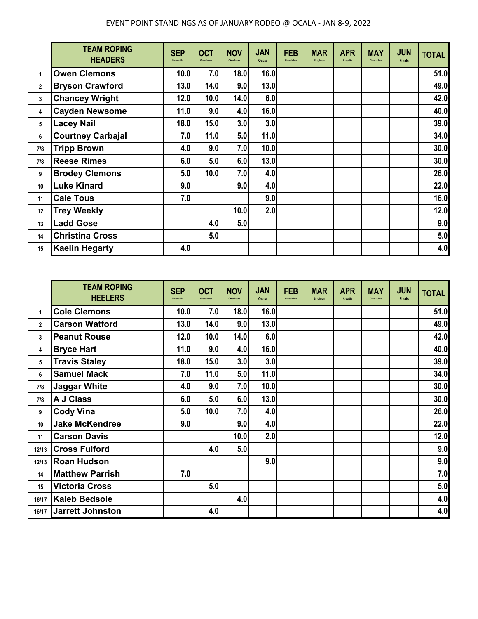|                | <b>TEAM ROPING</b><br><b>HEADERS</b> | <b>SEP</b><br>Kenansville | <b>OCT</b><br>Okeechohee | <b>NOV</b><br>Okeachobee | <b>JAN</b><br><b>Ocala</b> | <b>FEB</b><br>Okeechohee | <b>MAR</b><br><b>Brighton</b> | <b>APR</b><br><b>Arcadia</b> | <b>MAY</b><br>Okeechobee | <b>JUN</b><br><b>Finals</b> | <b>TOTAL</b> |
|----------------|--------------------------------------|---------------------------|--------------------------|--------------------------|----------------------------|--------------------------|-------------------------------|------------------------------|--------------------------|-----------------------------|--------------|
| 1              | <b>Owen Clemons</b>                  | 10.0                      | 7.0                      | 18.0                     | 16.0                       |                          |                               |                              |                          |                             | 51.0         |
| $\overline{2}$ | <b>Bryson Crawford</b>               | 13.0                      | 14.0                     | 9.0                      | 13.0                       |                          |                               |                              |                          |                             | 49.0         |
| 3              | <b>Chancey Wright</b>                | 12.0                      | 10.0                     | 14.0                     | 6.0                        |                          |                               |                              |                          |                             | 42.0         |
| 4              | <b>Cayden Newsome</b>                | 11.0                      | 9.0                      | 4.0                      | 16.0                       |                          |                               |                              |                          |                             | 40.0         |
| 5              | <b>Lacey Nail</b>                    | 18.0                      | 15.0                     | 3.0                      | 3.0                        |                          |                               |                              |                          |                             | 39.0         |
| 6              | <b>Courtney Carbajal</b>             | 7.0                       | 11.0                     | 5.0                      | 11.0                       |                          |                               |                              |                          |                             | 34.0         |
| 7/8            | <b>Tripp Brown</b>                   | 4.0                       | 9.0                      | 7.0                      | 10.0                       |                          |                               |                              |                          |                             | 30.0         |
| 7/8            | <b>Reese Rimes</b>                   | 6.0                       | 5.0                      | 6.0                      | 13.0                       |                          |                               |                              |                          |                             | 30.0         |
| 9              | <b>Brodey Clemons</b>                | 5.0                       | 10.0                     | 7.0                      | 4.0                        |                          |                               |                              |                          |                             | 26.0         |
| 10             | <b>Luke Kinard</b>                   | 9.0                       |                          | 9.0                      | 4.0                        |                          |                               |                              |                          |                             | 22.0         |
| 11             | <b>Cale Tous</b>                     | 7.0                       |                          |                          | 9.0                        |                          |                               |                              |                          |                             | 16.0         |
| 12             | <b>Trey Weekly</b>                   |                           |                          | 10.0                     | 2.0                        |                          |                               |                              |                          |                             | 12.0         |
| 13             | <b>Ladd Gose</b>                     |                           | 4.0                      | 5.0                      |                            |                          |                               |                              |                          |                             | 9.0          |
| 14             | <b>Christina Cross</b>               |                           | 5.0                      |                          |                            |                          |                               |                              |                          |                             | 5.0          |
| 15             | <b>Kaelin Hegarty</b>                | 4.0                       |                          |                          |                            |                          |                               |                              |                          |                             | 4.0          |

|              | <b>TEAM ROPING</b><br><b>HEELERS</b> | <b>SEP</b><br>Kenansville | <b>OCT</b><br>Okeechobee | <b>NOV</b><br>Okeechobee | <b>JAN</b><br><b>Ocala</b> | <b>FEB</b><br>Okeechobee | <b>MAR</b><br><b>Brighton</b> | <b>APR</b><br><b>Arcadia</b> | <b>MAY</b><br>Okeechobee | <b>JUN</b><br><b>Finals</b> | <b>TOTAL</b> |
|--------------|--------------------------------------|---------------------------|--------------------------|--------------------------|----------------------------|--------------------------|-------------------------------|------------------------------|--------------------------|-----------------------------|--------------|
| 1            | <b>Cole Clemons</b>                  | 10.0                      | 7.0                      | 18.0                     | 16.0                       |                          |                               |                              |                          |                             | 51.0         |
| $\mathbf{2}$ | <b>Carson Watford</b>                | 13.0                      | 14.0                     | 9.0                      | 13.0                       |                          |                               |                              |                          |                             | 49.0         |
| 3            | <b>Peanut Rouse</b>                  | 12.0                      | 10.0                     | 14.0                     | 6.0                        |                          |                               |                              |                          |                             | 42.0         |
| 4            | <b>Bryce Hart</b>                    | 11.0                      | 9.0                      | 4.0                      | 16.0                       |                          |                               |                              |                          |                             | 40.0         |
| 5            | <b>Travis Staley</b>                 | 18.0                      | 15.0                     | 3.0                      | 3.0                        |                          |                               |                              |                          |                             | 39.0         |
| 6            | <b>Samuel Mack</b>                   | 7.0                       | 11.0                     | 5.0                      | 11.0                       |                          |                               |                              |                          |                             | 34.0         |
| 7/8          | <b>Jaggar White</b>                  | 4.0                       | 9.0                      | 7.0                      | 10.0                       |                          |                               |                              |                          |                             | 30.0         |
| 7/8          | <b>A J Class</b>                     | 6.0                       | 5.0                      | 6.0                      | 13.0                       |                          |                               |                              |                          |                             | 30.0         |
| 9            | <b>Cody Vina</b>                     | 5.0                       | 10.0                     | 7.0                      | 4.0                        |                          |                               |                              |                          |                             | 26.0         |
| 10           | <b>Jake McKendree</b>                | 9.0                       |                          | 9.0                      | 4.0                        |                          |                               |                              |                          |                             | 22.0         |
| 11           | <b>Carson Davis</b>                  |                           |                          | 10.0                     | 2.0                        |                          |                               |                              |                          |                             | 12.0         |
| 12/13        | <b>Cross Fulford</b>                 |                           | 4.0                      | 5.0                      |                            |                          |                               |                              |                          |                             | 9.0          |
| 12/13        | <b>Roan Hudson</b>                   |                           |                          |                          | 9.0                        |                          |                               |                              |                          |                             | 9.0          |
| 14           | <b>Matthew Parrish</b>               | 7.0                       |                          |                          |                            |                          |                               |                              |                          |                             | 7.0          |
| 15           | <b>Victoria Cross</b>                |                           | 5.0                      |                          |                            |                          |                               |                              |                          |                             | 5.0          |
| 16/17        | <b>Kaleb Bedsole</b>                 |                           |                          | 4.0                      |                            |                          |                               |                              |                          |                             | 4.0          |
| 16/17        | Jarrett Johnston                     |                           | 4.0                      |                          |                            |                          |                               |                              |                          |                             | 4.0          |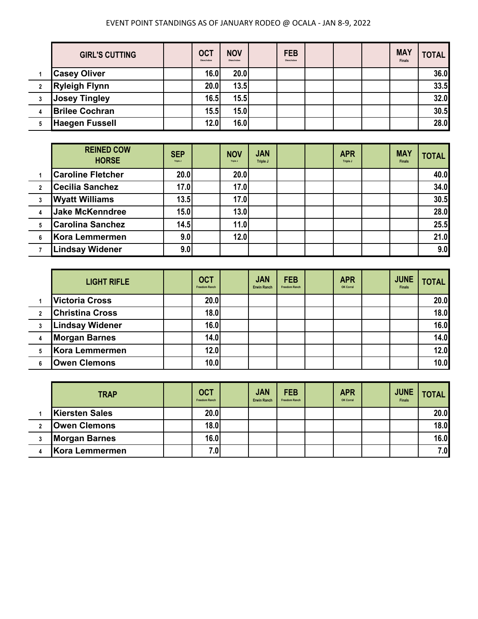| <b>GIRL'S CUTTING</b> | OCT<br>Okeechobee | <b>NOV</b><br>Okeechobee | <b>FEB</b><br>Okeechobee |  | <b>MAY</b><br><b>Finals</b> | <b>TOTAL</b> |
|-----------------------|-------------------|--------------------------|--------------------------|--|-----------------------------|--------------|
| <b>Casey Oliver</b>   | 16.0              | 20.0                     |                          |  |                             | 36.0         |
| <b>Ryleigh Flynn</b>  | 20.0              | 13.5                     |                          |  |                             | 33.5         |
| <b>Josey Tingley</b>  | 16.5              | 15.5                     |                          |  |                             | 32.0         |
| <b>Brilee Cochran</b> | 15.5              | 15.0                     |                          |  |                             | 30.5         |
| <b>Haegen Fussell</b> | 12.0              | 16.0                     |                          |  |                             | 28.0         |

|                | <b>REINED COW</b><br><b>HORSE</b> | <b>SEP</b><br>Triple J | <b>NOV</b><br>Triple J | <b>JAN</b><br>Triple J |  | <b>APR</b><br>Triple J | <b>MAY</b><br><b>Finals</b> | <b>TOTAL</b> |
|----------------|-----------------------------------|------------------------|------------------------|------------------------|--|------------------------|-----------------------------|--------------|
|                | <b>Caroline Fletcher</b>          | 20.0                   | 20.0                   |                        |  |                        |                             | 40.0         |
| $\overline{2}$ | <b>Cecilia Sanchez</b>            | 17.0                   | 17.0                   |                        |  |                        |                             | 34.0         |
| 3              | <b>Wyatt Williams</b>             | 13.5                   | 17.0                   |                        |  |                        |                             | 30.5         |
|                | <b>Jake McKenndree</b>            | 15.0                   | 13.0                   |                        |  |                        |                             | 28.0         |
| 5              | <b>Carolina Sanchez</b>           | 14.5                   | 11.0                   |                        |  |                        |                             | 25.5         |
| 6              | Kora Lemmermen                    | 9.0                    | 12.0                   |                        |  |                        |                             | 21.0         |
|                | <b>Lindsay Widener</b>            | 9.0                    |                        |                        |  |                        |                             | 9.0          |

|                | <b>LIGHT RIFLE</b>     | <b>OCT</b><br><b>Freedom Ranch</b> | <b>JAN</b><br><b>Erwin Ranch</b> | <b>FEB</b><br><b>Freedom Ranch</b> | <b>APR</b><br>OK Corral | <b>JUNE</b><br><b>Finals</b> | <b>TOTAL</b> |
|----------------|------------------------|------------------------------------|----------------------------------|------------------------------------|-------------------------|------------------------------|--------------|
|                | <b>Victoria Cross</b>  | 20.0                               |                                  |                                    |                         |                              | 20.0         |
| $\overline{2}$ | <b>Christina Cross</b> | 18.0                               |                                  |                                    |                         |                              | 18.0         |
|                | <b>Lindsay Widener</b> | 16.0                               |                                  |                                    |                         |                              | 16.0         |
|                | <b>Morgan Barnes</b>   | 14.0                               |                                  |                                    |                         |                              | 14.0         |
|                | Kora Lemmermen         | 12.0                               |                                  |                                    |                         |                              | 12.0         |
|                | <b>Owen Clemons</b>    | 10.0                               |                                  |                                    |                         |                              | 10.0         |

| <b>TRAP</b>           | <b>OCT</b><br><b>Freedom Ranch</b> | <b>JAN</b><br><b>Erwin Ranch</b> | <b>FEB</b><br><b>Freedom Ranch</b> | <b>APR</b><br>OK Corral | <b>JUNE</b><br><b>Finals</b> | <b>TOTAL</b> |
|-----------------------|------------------------------------|----------------------------------|------------------------------------|-------------------------|------------------------------|--------------|
| <b>Kiersten Sales</b> | 20.0                               |                                  |                                    |                         |                              | 20.0         |
| <b>Owen Clemons</b>   | 18.0                               |                                  |                                    |                         |                              | <b>18.0</b>  |
| <b>Morgan Barnes</b>  | 16.0                               |                                  |                                    |                         |                              | 16.0         |
| Kora Lemmermen        | 7.0                                |                                  |                                    |                         |                              | 7.0          |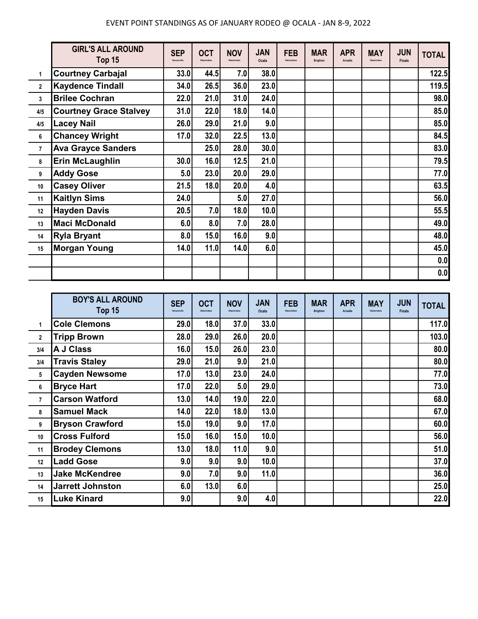|                | <b>GIRL'S ALL AROUND</b><br>Top 15 | <b>SEP</b><br>Kenansville | <b>OCT</b><br>Okeechobee | <b>NOV</b><br>Okeechobee | <b>JAN</b><br>Ocala | <b>FEB</b><br>Okeechobee | <b>MAR</b><br>Brighton | <b>APR</b><br>Arcadia | <b>MAY</b><br>Okeechobee | <b>JUN</b><br><b>Finals</b> | <b>TOTAL</b> |
|----------------|------------------------------------|---------------------------|--------------------------|--------------------------|---------------------|--------------------------|------------------------|-----------------------|--------------------------|-----------------------------|--------------|
| 1              | <b>Courtney Carbajal</b>           | 33.0                      | 44.5                     | 7.0                      | 38.0                |                          |                        |                       |                          |                             | 122.5        |
| $\mathbf{2}$   | <b>Kaydence Tindall</b>            | 34.0                      | 26.5                     | 36.0                     | 23.0                |                          |                        |                       |                          |                             | 119.5        |
| 3              | <b>Brilee Cochran</b>              | 22.0                      | 21.0                     | 31.0                     | 24.0                |                          |                        |                       |                          |                             | 98.0         |
| 4/5            | <b>Courtney Grace Stalvey</b>      | 31.0                      | 22.0                     | 18.0                     | 14.0                |                          |                        |                       |                          |                             | 85.0         |
| 4/5            | <b>Lacey Nail</b>                  | 26.0                      | 29.0                     | 21.0                     | 9.0                 |                          |                        |                       |                          |                             | 85.0         |
| 6              | <b>Chancey Wright</b>              | 17.0                      | 32.0                     | 22.5                     | 13.0                |                          |                        |                       |                          |                             | 84.5         |
| $\overline{7}$ | <b>Ava Grayce Sanders</b>          |                           | 25.0                     | 28.0                     | 30.0                |                          |                        |                       |                          |                             | 83.0         |
| 8              | <b>Erin McLaughlin</b>             | 30.0                      | 16.0                     | 12.5                     | 21.0                |                          |                        |                       |                          |                             | 79.5         |
| 9              | <b>Addy Gose</b>                   | 5.0                       | 23.0                     | 20.0                     | 29.0                |                          |                        |                       |                          |                             | 77.0         |
| 10             | <b>Casey Oliver</b>                | 21.5                      | 18.0                     | 20.0                     | 4.0                 |                          |                        |                       |                          |                             | 63.5         |
| 11             | <b>Kaitlyn Sims</b>                | 24.0                      |                          | 5.0                      | 27.0                |                          |                        |                       |                          |                             | 56.0         |
| 12             | <b>Hayden Davis</b>                | 20.5                      | 7.0                      | 18.0                     | 10.0                |                          |                        |                       |                          |                             | 55.5         |
| 13             | <b>Maci McDonald</b>               | 6.0                       | 8.0                      | 7.0                      | 28.0                |                          |                        |                       |                          |                             | 49.0         |
| 14             | <b>Ryla Bryant</b>                 | 8.0                       | 15.0                     | 16.0                     | 9.0                 |                          |                        |                       |                          |                             | 48.0         |
| 15             | <b>Morgan Young</b>                | 14.0                      | 11.0                     | 14.0                     | 6.0                 |                          |                        |                       |                          |                             | 45.0         |
|                |                                    |                           |                          |                          |                     |                          |                        |                       |                          |                             | 0.0          |
|                |                                    |                           |                          |                          |                     |                          |                        |                       |                          |                             | 0.0          |

|                | <b>BOY'S ALL AROUND</b><br>Top 15 | <b>SEP</b><br>Kenansville | <b>OCT</b><br>Okeechobee | <b>NOV</b><br>Okeachobee | <b>JAN</b><br>Ocala | <b>FEB</b><br>Okeechobee | <b>MAR</b><br><b>Brighton</b> | <b>APR</b><br>Arcadia | <b>MAY</b><br>Okeechobee | <b>JUN</b><br><b>Finals</b> | <b>TOTAL</b> |
|----------------|-----------------------------------|---------------------------|--------------------------|--------------------------|---------------------|--------------------------|-------------------------------|-----------------------|--------------------------|-----------------------------|--------------|
| $\mathbf{1}$   | <b>Cole Clemons</b>               | 29.0                      | 18.0                     | 37.0                     | 33.0                |                          |                               |                       |                          |                             | 117.0        |
| $\mathbf{2}$   | <b>Tripp Brown</b>                | 28.0                      | 29.0                     | 26.0                     | 20.0                |                          |                               |                       |                          |                             | 103.0        |
| 3/4            | <b>A J Class</b>                  | 16.0                      | 15.0                     | 26.0                     | 23.0                |                          |                               |                       |                          |                             | 80.0         |
| 3/4            | <b>Travis Staley</b>              | 29.0                      | 21.0                     | 9.0                      | 21.0                |                          |                               |                       |                          |                             | 80.0         |
| 5              | <b>Cayden Newsome</b>             | 17.0                      | 13.0                     | 23.0                     | 24.0                |                          |                               |                       |                          |                             | 77.0         |
| 6              | <b>Bryce Hart</b>                 | 17.0                      | 22.0                     | 5.0                      | 29.0                |                          |                               |                       |                          |                             | 73.0         |
| $\overline{7}$ | <b>Carson Watford</b>             | 13.0                      | 14.0                     | 19.0                     | 22.0                |                          |                               |                       |                          |                             | 68.0         |
| 8              | <b>Samuel Mack</b>                | 14.0                      | 22.0                     | 18.0                     | 13.0                |                          |                               |                       |                          |                             | 67.0         |
| 9              | <b>Bryson Crawford</b>            | 15.0                      | 19.0                     | 9.0                      | 17.0                |                          |                               |                       |                          |                             | 60.0         |
| 10             | <b>Cross Fulford</b>              | 15.0                      | 16.0                     | 15.0                     | 10.0                |                          |                               |                       |                          |                             | 56.0         |
| 11             | <b>Brodey Clemons</b>             | 13.0                      | 18.0                     | 11.0                     | 9.0                 |                          |                               |                       |                          |                             | 51.0         |
| 12             | <b>Ladd Gose</b>                  | 9.0                       | 9.0                      | 9.0                      | 10.0                |                          |                               |                       |                          |                             | 37.0         |
| 13             | <b>Jake McKendree</b>             | 9.0                       | 7.0                      | 9.0                      | 11.0                |                          |                               |                       |                          |                             | 36.0         |
| 14             | <b>Jarrett Johnston</b>           | 6.0                       | 13.0                     | 6.0                      |                     |                          |                               |                       |                          |                             | 25.0         |
| 15             | <b>Luke Kinard</b>                | 9.0                       |                          | 9.0                      | 4.0                 |                          |                               |                       |                          |                             | 22.0         |